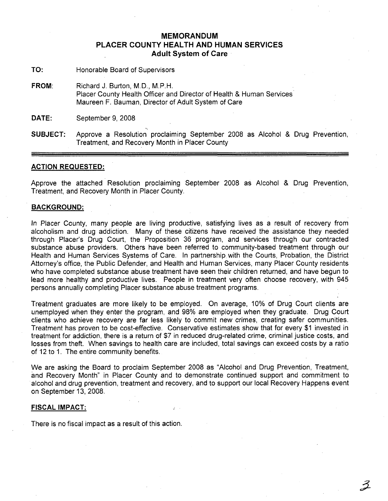## **MEMORANDUM PLACER COUNTY HEALTH AND HUMAN SERVICES Adult System of Care**

- TO: Honorable Board of Supervisors
- FROM: Richard J. Burton, M.D., M.P.H. Placer County Health Officer and Director of Health & Human Services Maureen F, Bauman, Director of Adult System of Care

"

**DATE:** September 9,2008

**SUBJECT:** Approve a Resolution proclaiming September 2008 as Alcohol & Drug Prevention, Treatment, and Recovery Month in Placer County

## **ACTION REQUESTED:**

Approve the attached Resolution proclaiming September 2008 as Alcohol & Drug Prevention, Treatment, and Recovery Month in Placer County.

#### **BACKGROUND:**

In Placer County, many people are living productive, satisfying lives as a result of recovery from alcoholism and drug addiction. Many of these citizens have received the assistance they needed through Placer's Drug Court, the Proposition 36· program, and services through our contracted substance abuse providers. Others have been referred to community-based treatment through our Health and Human Services Systems of Care. In partnership with the Courts, Probation, the District Attorney's office, the Public Defender, and Health and Human Services, many Placer County residents who have completed substance abuse treatment have seen their children returned, and have begun to lead more healthy and productive lives. People in treatment very often choose recovery, with 945 persons annually completing Placer substance abuse treatment programs.

Treatment graduates are more likely to be employed. On average, 10% of Drug Court clients are unemployed when they enter the program, and 98% are employed when they graduate. Drug Court clients who achieve recovery are far less likely to commit new crimes, creating safer communities. Treatment has proven to be cost-effective. Conservative estimates show that for every \$1 invested in treatment for addiction, there is a return of \$7 in reduced drug-related crime, criminal justice costs, and losses from theft. When savings to health care are included, total savings can exceed costs by a ratio of 12 to 1. The entire community benefits.

We are asking the Board to proclaim September 2008 as "Alcohol and Drug Prevention, Treatment, and Recovery Month" in Placer County and to demonstrate continued support and commitment to alcohol and drug prevention, treatment and recovery, and to support our local Recovery Happens event on September 13, 2008.

#### **FISCAL IMPACT:**

There is no fiscal impact as a result of this action.